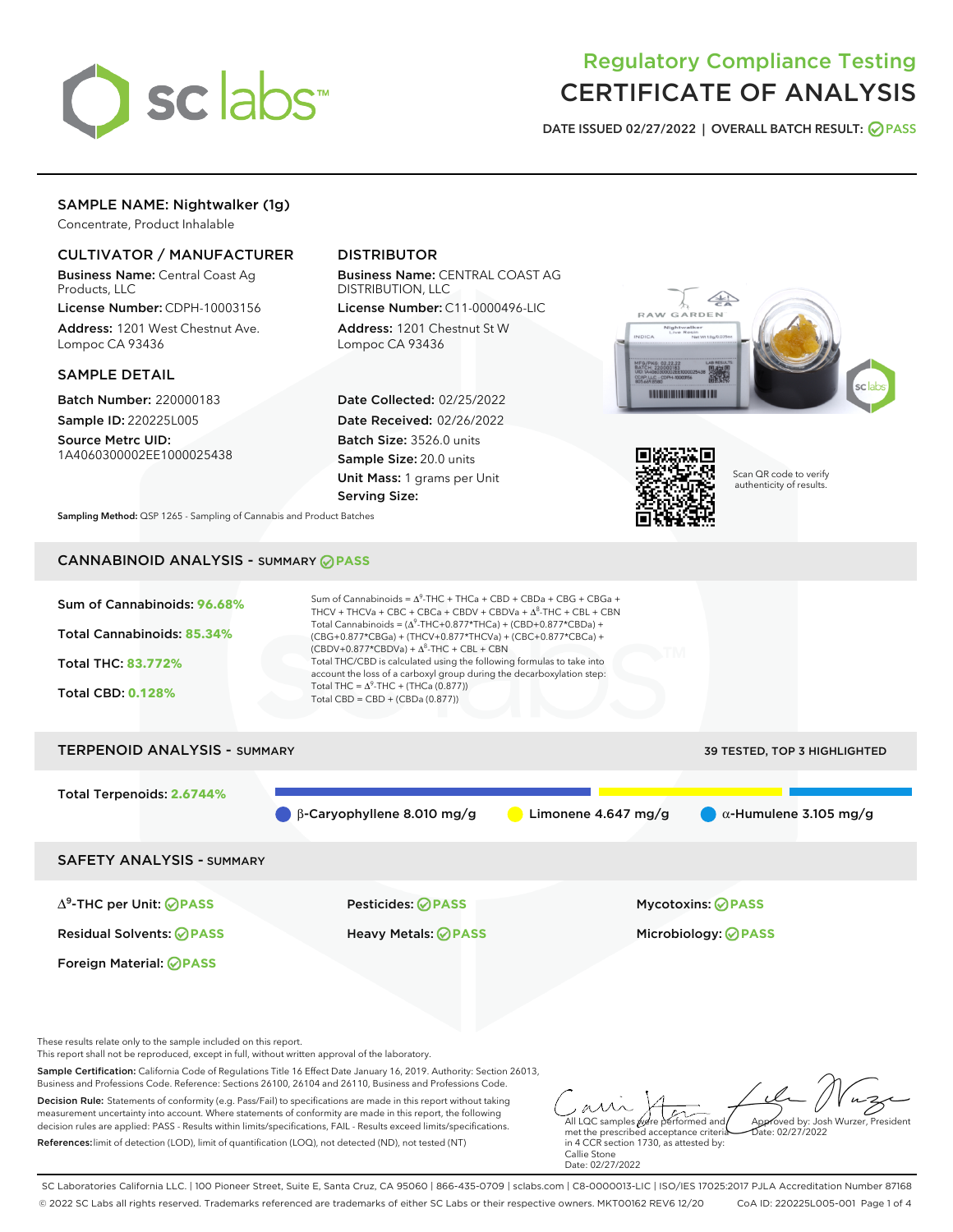

# Regulatory Compliance Testing CERTIFICATE OF ANALYSIS

DATE ISSUED 02/27/2022 | OVERALL BATCH RESULT: @ PASS

# SAMPLE NAME: Nightwalker (1g)

Concentrate, Product Inhalable

# CULTIVATOR / MANUFACTURER

Business Name: Central Coast Ag Products, LLC

License Number: CDPH-10003156 Address: 1201 West Chestnut Ave. Lompoc CA 93436

## SAMPLE DETAIL

Batch Number: 220000183 Sample ID: 220225L005

Source Metrc UID: 1A4060300002EE1000025438

# DISTRIBUTOR

Business Name: CENTRAL COAST AG DISTRIBUTION, LLC License Number: C11-0000496-LIC

Address: 1201 Chestnut St W Lompoc CA 93436

Date Collected: 02/25/2022 Date Received: 02/26/2022 Batch Size: 3526.0 units Sample Size: 20.0 units Unit Mass: 1 grams per Unit Serving Size:





Scan QR code to verify authenticity of results.

Sampling Method: QSP 1265 - Sampling of Cannabis and Product Batches

# CANNABINOID ANALYSIS - SUMMARY **PASS**



Sample Certification: California Code of Regulations Title 16 Effect Date January 16, 2019. Authority: Section 26013, Business and Professions Code. Reference: Sections 26100, 26104 and 26110, Business and Professions Code.

Decision Rule: Statements of conformity (e.g. Pass/Fail) to specifications are made in this report without taking measurement uncertainty into account. Where statements of conformity are made in this report, the following decision rules are applied: PASS - Results within limits/specifications, FAIL - Results exceed limits/specifications. References:limit of detection (LOD), limit of quantification (LOQ), not detected (ND), not tested (NT)

All LQC samples were performed and met the prescribed acceptance criteria Approved by: Josh Wurzer, President  $ate: 02/27/2022$ 

in 4 CCR section 1730, as attested by: Callie Stone Date: 02/27/2022

SC Laboratories California LLC. | 100 Pioneer Street, Suite E, Santa Cruz, CA 95060 | 866-435-0709 | sclabs.com | C8-0000013-LIC | ISO/IES 17025:2017 PJLA Accreditation Number 87168 © 2022 SC Labs all rights reserved. Trademarks referenced are trademarks of either SC Labs or their respective owners. MKT00162 REV6 12/20 CoA ID: 220225L005-001 Page 1 of 4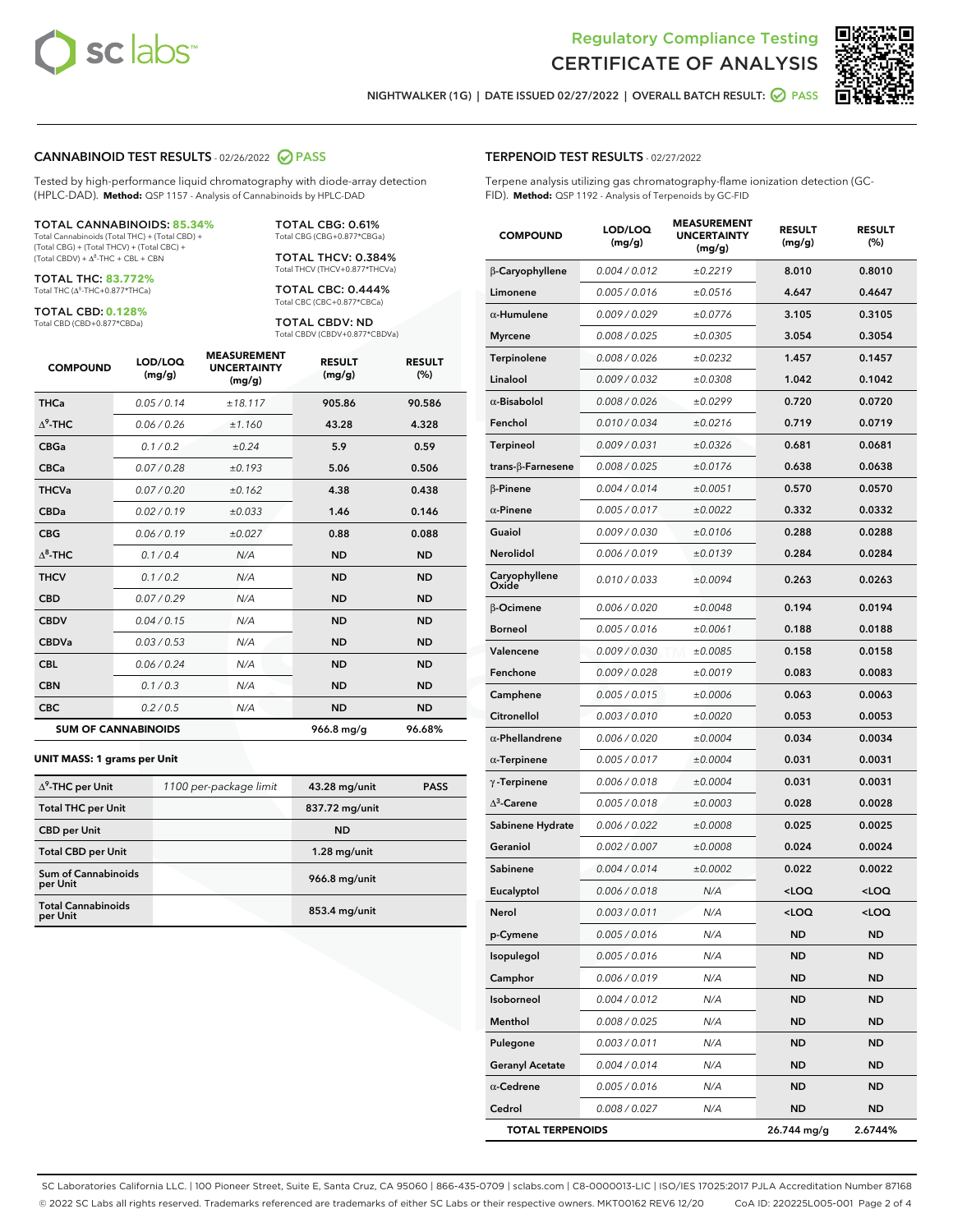



NIGHTWALKER (1G) | DATE ISSUED 02/27/2022 | OVERALL BATCH RESULT: **○** PASS

## CANNABINOID TEST RESULTS - 02/26/2022 2 PASS

Tested by high-performance liquid chromatography with diode-array detection (HPLC-DAD). **Method:** QSP 1157 - Analysis of Cannabinoids by HPLC-DAD

#### TOTAL CANNABINOIDS: **85.34%**

Total Cannabinoids (Total THC) + (Total CBD) + (Total CBG) + (Total THCV) + (Total CBC) +  $(Total CBDV) +  $\Delta^8$ -THC + CBL + CBN$ 

TOTAL THC: **83.772%** Total THC (Δ<sup>9</sup>-THC+0.877\*THCa)

TOTAL CBD: **0.128%**

Total CBD (CBD+0.877\*CBDa)

TOTAL CBG: 0.61% Total CBG (CBG+0.877\*CBGa)

TOTAL THCV: 0.384% Total THCV (THCV+0.877\*THCVa)

TOTAL CBC: 0.444% Total CBC (CBC+0.877\*CBCa)

TOTAL CBDV: ND Total CBDV (CBDV+0.877\*CBDVa)

| <b>COMPOUND</b>  | LOD/LOQ<br>(mg/g)          | <b>MEASUREMENT</b><br><b>UNCERTAINTY</b><br>(mg/g) | <b>RESULT</b><br>(mg/g) | <b>RESULT</b><br>(%) |
|------------------|----------------------------|----------------------------------------------------|-------------------------|----------------------|
| <b>THCa</b>      | 0.05/0.14                  | ±18.117                                            | 905.86                  | 90.586               |
| $\Lambda^9$ -THC | 0.06 / 0.26                | ±1.160                                             | 43.28                   | 4.328                |
| <b>CBGa</b>      | 0.1 / 0.2                  | ±0.24                                              | 5.9                     | 0.59                 |
| <b>CBCa</b>      | 0.07 / 0.28                | ±0.193                                             | 5.06                    | 0.506                |
| <b>THCVa</b>     | 0.07 / 0.20                | ±0.162                                             | 4.38                    | 0.438                |
| <b>CBDa</b>      | 0.02/0.19                  | ±0.033                                             | 1.46                    | 0.146                |
| <b>CBG</b>       | 0.06/0.19                  | ±0.027                                             | 0.88                    | 0.088                |
| $\Lambda^8$ -THC | 0.1 / 0.4                  | N/A                                                | <b>ND</b>               | <b>ND</b>            |
| <b>THCV</b>      | 0.1 / 0.2                  | N/A                                                | <b>ND</b>               | <b>ND</b>            |
| <b>CBD</b>       | 0.07/0.29                  | N/A                                                | <b>ND</b>               | <b>ND</b>            |
| <b>CBDV</b>      | 0.04 / 0.15                | N/A                                                | <b>ND</b>               | <b>ND</b>            |
| <b>CBDVa</b>     | 0.03 / 0.53                | N/A                                                | <b>ND</b>               | <b>ND</b>            |
| <b>CBL</b>       | 0.06 / 0.24                | N/A                                                | <b>ND</b>               | <b>ND</b>            |
| <b>CBN</b>       | 0.1/0.3                    | N/A                                                | <b>ND</b>               | <b>ND</b>            |
| <b>CBC</b>       | 0.2 / 0.5                  | N/A                                                | <b>ND</b>               | <b>ND</b>            |
|                  | <b>SUM OF CANNABINOIDS</b> |                                                    | 966.8 mg/g              | 96.68%               |

#### **UNIT MASS: 1 grams per Unit**

| $\Delta^9$ -THC per Unit              | 1100 per-package limit | 43.28 mg/unit   | <b>PASS</b> |
|---------------------------------------|------------------------|-----------------|-------------|
| <b>Total THC per Unit</b>             |                        | 837.72 mg/unit  |             |
| <b>CBD per Unit</b>                   |                        | <b>ND</b>       |             |
| <b>Total CBD per Unit</b>             |                        | $1.28$ mg/unit  |             |
| Sum of Cannabinoids<br>per Unit       |                        | 966.8 mg/unit   |             |
| <b>Total Cannabinoids</b><br>per Unit |                        | $853.4$ mg/unit |             |

| <b>COMPOUND</b>           | LOD/LOQ<br>(mg/g) | <b>MEASUREMENT</b><br><b>UNCERTAINTY</b><br>(mg/g) | <b>RESULT</b><br>(mg/g)                         | <b>RESULT</b><br>(%) |
|---------------------------|-------------------|----------------------------------------------------|-------------------------------------------------|----------------------|
| β-Caryophyllene           | 0.004 / 0.012     | ±0.2219                                            | 8.010                                           | 0.8010               |
| Limonene                  | 0.005 / 0.016     | ±0.0516                                            | 4.647                                           | 0.4647               |
| $\alpha$ -Humulene        | 0.009/0.029       | ±0.0776                                            | 3.105                                           | 0.3105               |
| <b>Myrcene</b>            | 0.008 / 0.025     | ±0.0305                                            | 3.054                                           | 0.3054               |
| Terpinolene               | 0.008 / 0.026     | ±0.0232                                            | 1.457                                           | 0.1457               |
| Linalool                  | 0.009/0.032       | ±0.0308                                            | 1.042                                           | 0.1042               |
| $\alpha$ -Bisabolol       | 0.008 / 0.026     | ±0.0299                                            | 0.720                                           | 0.0720               |
| Fenchol                   | 0.010 / 0.034     | ±0.0216                                            | 0.719                                           | 0.0719               |
| Terpineol                 | 0.009 / 0.031     | ±0.0326                                            | 0.681                                           | 0.0681               |
| trans- $\beta$ -Farnesene | 0.008 / 0.025     | ±0.0176                                            | 0.638                                           | 0.0638               |
| $\beta$ -Pinene           | 0.004 / 0.014     | ±0.0051                                            | 0.570                                           | 0.0570               |
| $\alpha$ -Pinene          | 0.005 / 0.017     | ±0.0022                                            | 0.332                                           | 0.0332               |
| Guaiol                    | 0.009 / 0.030     | ±0.0106                                            | 0.288                                           | 0.0288               |
| Nerolidol                 | 0.006 / 0.019     | ±0.0139                                            | 0.284                                           | 0.0284               |
| Caryophyllene<br>Oxide    | 0.010 / 0.033     | ±0.0094                                            | 0.263                                           | 0.0263               |
| β-Ocimene                 | 0.006 / 0.020     | ±0.0048                                            | 0.194                                           | 0.0194               |
| <b>Borneol</b>            | 0.005 / 0.016     | ±0.0061                                            | 0.188                                           | 0.0188               |
| Valencene                 | 0.009 / 0.030     | ±0.0085                                            | 0.158                                           | 0.0158               |
| Fenchone                  | 0.009 / 0.028     | ±0.0019                                            | 0.083                                           | 0.0083               |
| Camphene                  | 0.005 / 0.015     | ±0.0006                                            | 0.063                                           | 0.0063               |
| Citronellol               | 0.003 / 0.010     | ±0.0020                                            | 0.053                                           | 0.0053               |
| $\alpha$ -Phellandrene    | 0.006 / 0.020     | ±0.0004                                            | 0.034                                           | 0.0034               |
| $\alpha$ -Terpinene       | 0.005 / 0.017     | ±0.0004                                            | 0.031                                           | 0.0031               |
| $\gamma$ -Terpinene       | 0.006 / 0.018     | ±0.0004                                            | 0.031                                           | 0.0031               |
| $\Delta^3$ -Carene        | 0.005 / 0.018     | ±0.0003                                            | 0.028                                           | 0.0028               |
| Sabinene Hydrate          | 0.006 / 0.022     | ±0.0008                                            | 0.025                                           | 0.0025               |
| Geraniol                  | 0.002 / 0.007     | ±0.0008                                            | 0.024                                           | 0.0024               |
| Sabinene                  | 0.004 / 0.014     | ±0.0002                                            | 0.022                                           | 0.0022               |
| Eucalyptol                | 0.006 / 0.018     | N/A                                                | <loq< th=""><th><loq< th=""></loq<></th></loq<> | <loq< th=""></loq<>  |
| Nerol                     | 0.003/0.011       | N/A                                                | <loq< th=""><th><loq< th=""></loq<></th></loq<> | <loq< th=""></loq<>  |
| p-Cymene                  | 0.005 / 0.016     | N/A                                                | ND                                              | ND                   |
| Isopulegol                | 0.005 / 0.016     | N/A                                                | ND                                              | ND                   |
| Camphor                   | 0.006 / 0.019     | N/A                                                | ND                                              | ND                   |
| Isoborneol                | 0.004 / 0.012     | N/A                                                | ND                                              | ND                   |
| Menthol                   | 0.008 / 0.025     | N/A                                                | ND                                              | ND                   |
| Pulegone                  | 0.003 / 0.011     | N/A                                                | ND                                              | ND                   |
| <b>Geranyl Acetate</b>    | 0.004 / 0.014     | N/A                                                | ND                                              | ND                   |
| $\alpha$ -Cedrene         | 0.005 / 0.016     | N/A                                                | ND                                              | ND                   |
| Cedrol                    | 0.008 / 0.027     | N/A                                                | ND                                              | ND                   |
| <b>TOTAL TERPENOIDS</b>   |                   |                                                    | 26.744 mg/g                                     | 2.6744%              |

SC Laboratories California LLC. | 100 Pioneer Street, Suite E, Santa Cruz, CA 95060 | 866-435-0709 | sclabs.com | C8-0000013-LIC | ISO/IES 17025:2017 PJLA Accreditation Number 87168 © 2022 SC Labs all rights reserved. Trademarks referenced are trademarks of either SC Labs or their respective owners. MKT00162 REV6 12/20 CoA ID: 220225L005-001 Page 2 of 4

# TERPENOID TEST RESULTS - 02/27/2022

Terpene analysis utilizing gas chromatography-flame ionization detection (GC-FID). **Method:** QSP 1192 - Analysis of Terpenoids by GC-FID

MEASUREMENT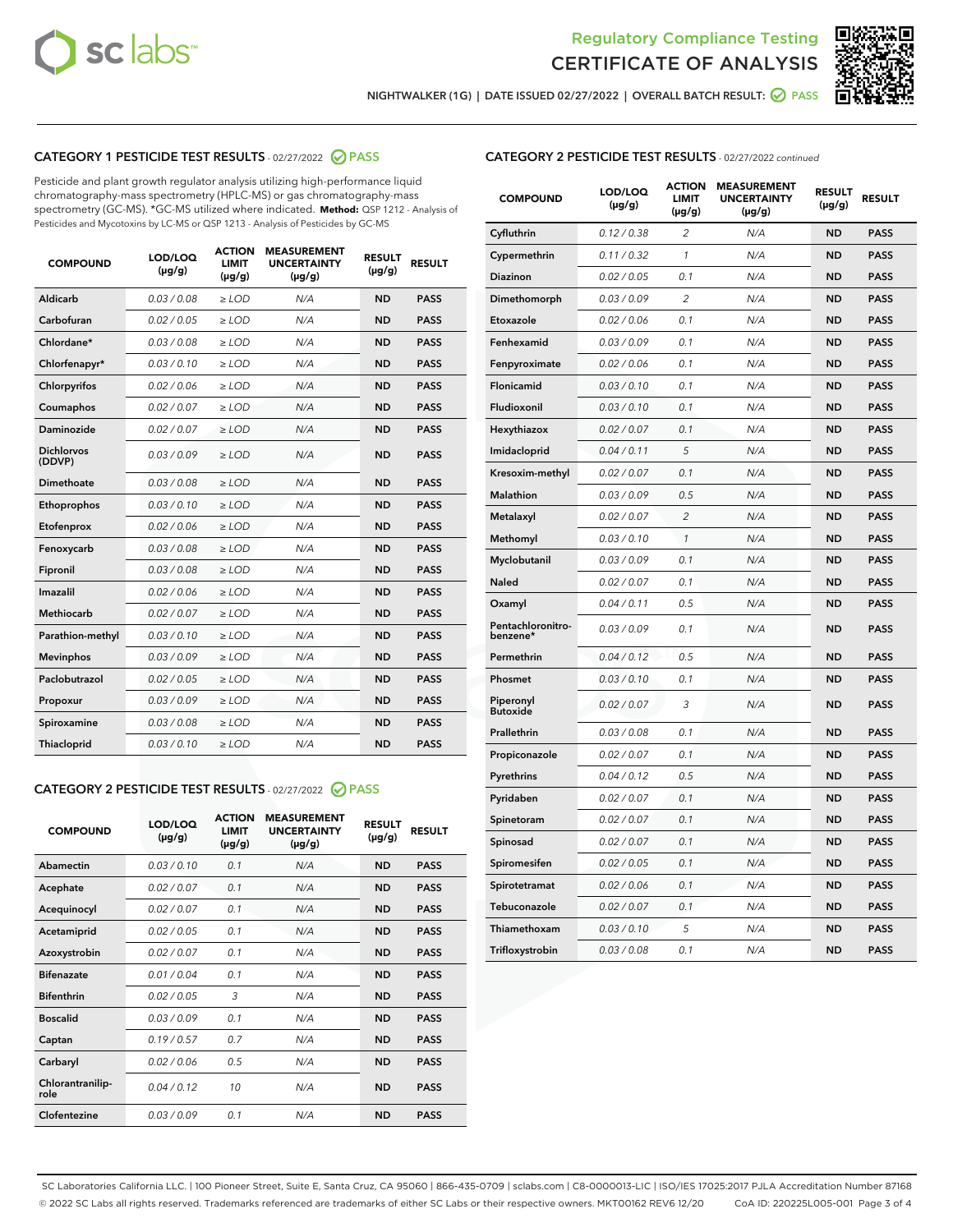



NIGHTWALKER (1G) | DATE ISSUED 02/27/2022 | OVERALL BATCH RESULT: ● PASS

# CATEGORY 1 PESTICIDE TEST RESULTS - 02/27/2022 2 PASS

Pesticide and plant growth regulator analysis utilizing high-performance liquid chromatography-mass spectrometry (HPLC-MS) or gas chromatography-mass spectrometry (GC-MS). \*GC-MS utilized where indicated. **Method:** QSP 1212 - Analysis of Pesticides and Mycotoxins by LC-MS or QSP 1213 - Analysis of Pesticides by GC-MS

| <b>COMPOUND</b>             | LOD/LOQ<br>$(\mu g/g)$ | <b>ACTION</b><br><b>LIMIT</b><br>$(\mu g/g)$ | <b>MEASUREMENT</b><br><b>UNCERTAINTY</b><br>$(\mu g/g)$ | <b>RESULT</b><br>$(\mu g/g)$ | <b>RESULT</b> |
|-----------------------------|------------------------|----------------------------------------------|---------------------------------------------------------|------------------------------|---------------|
| Aldicarb                    | 0.03 / 0.08            | $\ge$ LOD                                    | N/A                                                     | <b>ND</b>                    | <b>PASS</b>   |
| Carbofuran                  | 0.02 / 0.05            | $>$ LOD                                      | N/A                                                     | <b>ND</b>                    | <b>PASS</b>   |
| Chlordane*                  | 0.03 / 0.08            | $\ge$ LOD                                    | N/A                                                     | <b>ND</b>                    | <b>PASS</b>   |
| Chlorfenapyr*               | 0.03/0.10              | $\ge$ LOD                                    | N/A                                                     | <b>ND</b>                    | <b>PASS</b>   |
| Chlorpyrifos                | 0.02/0.06              | $>$ LOD                                      | N/A                                                     | <b>ND</b>                    | <b>PASS</b>   |
| Coumaphos                   | 0.02 / 0.07            | $\ge$ LOD                                    | N/A                                                     | <b>ND</b>                    | <b>PASS</b>   |
| Daminozide                  | 0.02 / 0.07            | $\ge$ LOD                                    | N/A                                                     | <b>ND</b>                    | <b>PASS</b>   |
| <b>Dichlorvos</b><br>(DDVP) | 0.03/0.09              | $\ge$ LOD                                    | N/A                                                     | <b>ND</b>                    | <b>PASS</b>   |
| Dimethoate                  | 0.03 / 0.08            | $>$ LOD                                      | N/A                                                     | <b>ND</b>                    | <b>PASS</b>   |
| Ethoprophos                 | 0.03/0.10              | $>$ LOD                                      | N/A                                                     | <b>ND</b>                    | <b>PASS</b>   |
| Etofenprox                  | 0.02 / 0.06            | $\ge$ LOD                                    | N/A                                                     | <b>ND</b>                    | <b>PASS</b>   |
| Fenoxycarb                  | 0.03 / 0.08            | $\ge$ LOD                                    | N/A                                                     | <b>ND</b>                    | <b>PASS</b>   |
| Fipronil                    | 0.03 / 0.08            | $\ge$ LOD                                    | N/A                                                     | <b>ND</b>                    | <b>PASS</b>   |
| Imazalil                    | 0.02 / 0.06            | $\ge$ LOD                                    | N/A                                                     | <b>ND</b>                    | <b>PASS</b>   |
| <b>Methiocarb</b>           | 0.02 / 0.07            | $\ge$ LOD                                    | N/A                                                     | <b>ND</b>                    | <b>PASS</b>   |
| Parathion-methyl            | 0.03/0.10              | $>$ LOD                                      | N/A                                                     | <b>ND</b>                    | <b>PASS</b>   |
| <b>Mevinphos</b>            | 0.03/0.09              | $\ge$ LOD                                    | N/A                                                     | <b>ND</b>                    | <b>PASS</b>   |
| Paclobutrazol               | 0.02 / 0.05            | $\ge$ LOD                                    | N/A                                                     | <b>ND</b>                    | <b>PASS</b>   |
| Propoxur                    | 0.03/0.09              | $>$ LOD                                      | N/A                                                     | <b>ND</b>                    | <b>PASS</b>   |
| Spiroxamine                 | 0.03 / 0.08            | $\ge$ LOD                                    | N/A                                                     | <b>ND</b>                    | <b>PASS</b>   |
| Thiacloprid                 | 0.03/0.10              | $\ge$ LOD                                    | N/A                                                     | <b>ND</b>                    | <b>PASS</b>   |

# CATEGORY 2 PESTICIDE TEST RESULTS - 02/27/2022 @ PASS

| <b>COMPOUND</b>          | LOD/LOQ<br>$(\mu g/g)$ | <b>ACTION</b><br><b>LIMIT</b><br>$(\mu g/g)$ | <b>MEASUREMENT</b><br><b>UNCERTAINTY</b><br>$(\mu g/g)$ | <b>RESULT</b><br>$(\mu g/g)$ | <b>RESULT</b> |  |
|--------------------------|------------------------|----------------------------------------------|---------------------------------------------------------|------------------------------|---------------|--|
| Abamectin                | 0.03/0.10              | 0.1                                          | N/A                                                     | <b>ND</b>                    | <b>PASS</b>   |  |
| Acephate                 | 0.02/0.07              | 0.1                                          | N/A                                                     | <b>ND</b>                    | <b>PASS</b>   |  |
| Acequinocyl              | 0.02/0.07              | 0.1                                          | N/A                                                     | <b>ND</b>                    | <b>PASS</b>   |  |
| Acetamiprid              | 0.02/0.05              | 0.1                                          | N/A                                                     | <b>ND</b>                    | <b>PASS</b>   |  |
| Azoxystrobin             | 0.02/0.07              | 0.1                                          | N/A                                                     | <b>ND</b>                    | <b>PASS</b>   |  |
| <b>Bifenazate</b>        | 0.01/0.04              | 0.1                                          | N/A                                                     | <b>ND</b>                    | <b>PASS</b>   |  |
| <b>Bifenthrin</b>        | 0.02 / 0.05            | 3                                            | N/A                                                     | <b>ND</b>                    | <b>PASS</b>   |  |
| <b>Boscalid</b>          | 0.03/0.09              | 0.1                                          | N/A                                                     | <b>ND</b>                    | <b>PASS</b>   |  |
| Captan                   | 0.19/0.57              | 0.7                                          | N/A                                                     | <b>ND</b>                    | <b>PASS</b>   |  |
| Carbaryl                 | 0.02/0.06              | 0.5                                          | N/A                                                     | <b>ND</b>                    | <b>PASS</b>   |  |
| Chlorantranilip-<br>role | 0.04/0.12              | 10                                           | N/A                                                     | <b>ND</b>                    | <b>PASS</b>   |  |
| Clofentezine             | 0.03/0.09              | 0.1                                          | N/A                                                     | <b>ND</b>                    | <b>PASS</b>   |  |

| <b>CATEGORY 2 PESTICIDE TEST RESULTS</b> - 02/27/2022 continued |
|-----------------------------------------------------------------|
|-----------------------------------------------------------------|

| <b>COMPOUND</b>               | LOD/LOQ<br>$(\mu g/g)$ | <b>ACTION</b><br><b>LIMIT</b><br>$(\mu g/g)$ | <b>MEASUREMENT</b><br><b>UNCERTAINTY</b><br>(µg/g) | <b>RESULT</b><br>$(\mu g/g)$ | <b>RESULT</b> |
|-------------------------------|------------------------|----------------------------------------------|----------------------------------------------------|------------------------------|---------------|
| Cyfluthrin                    | 0.12 / 0.38            | $\overline{c}$                               | N/A                                                | <b>ND</b>                    | <b>PASS</b>   |
| Cypermethrin                  | 0.11 / 0.32            | 1                                            | N/A                                                | <b>ND</b>                    | <b>PASS</b>   |
| Diazinon                      | 0.02 / 0.05            | 0.1                                          | N/A                                                | <b>ND</b>                    | <b>PASS</b>   |
| Dimethomorph                  | 0.03 / 0.09            | 2                                            | N/A                                                | <b>ND</b>                    | <b>PASS</b>   |
| Etoxazole                     | 0.02 / 0.06            | 0.1                                          | N/A                                                | <b>ND</b>                    | <b>PASS</b>   |
| Fenhexamid                    | 0.03 / 0.09            | 0.1                                          | N/A                                                | <b>ND</b>                    | <b>PASS</b>   |
| Fenpyroximate                 | 0.02 / 0.06            | 0.1                                          | N/A                                                | <b>ND</b>                    | <b>PASS</b>   |
| Flonicamid                    | 0.03 / 0.10            | 0.1                                          | N/A                                                | <b>ND</b>                    | <b>PASS</b>   |
| Fludioxonil                   | 0.03 / 0.10            | 0.1                                          | N/A                                                | <b>ND</b>                    | <b>PASS</b>   |
| Hexythiazox                   | 0.02 / 0.07            | 0.1                                          | N/A                                                | <b>ND</b>                    | <b>PASS</b>   |
| Imidacloprid                  | 0.04 / 0.11            | 5                                            | N/A                                                | <b>ND</b>                    | <b>PASS</b>   |
| Kresoxim-methyl               | 0.02 / 0.07            | 0.1                                          | N/A                                                | <b>ND</b>                    | <b>PASS</b>   |
| Malathion                     | 0.03 / 0.09            | 0.5                                          | N/A                                                | <b>ND</b>                    | <b>PASS</b>   |
| Metalaxyl                     | 0.02 / 0.07            | $\overline{c}$                               | N/A                                                | <b>ND</b>                    | <b>PASS</b>   |
| Methomyl                      | 0.03 / 0.10            | $\mathcal{I}$                                | N/A                                                | <b>ND</b>                    | <b>PASS</b>   |
| Myclobutanil                  | 0.03 / 0.09            | 0.1                                          | N/A                                                | <b>ND</b>                    | <b>PASS</b>   |
| Naled                         | 0.02 / 0.07            | 0.1                                          | N/A                                                | <b>ND</b>                    | <b>PASS</b>   |
| Oxamyl                        | 0.04 / 0.11            | 0.5                                          | N/A                                                | <b>ND</b>                    | <b>PASS</b>   |
| Pentachloronitro-<br>benzene* | 0.03 / 0.09            | 0.1                                          | N/A                                                | <b>ND</b>                    | <b>PASS</b>   |
| Permethrin                    | 0.04 / 0.12            | 0.5                                          | N/A                                                | <b>ND</b>                    | <b>PASS</b>   |
| Phosmet                       | 0.03 / 0.10            | 0.1                                          | N/A                                                | <b>ND</b>                    | <b>PASS</b>   |
| Piperonyl<br><b>Butoxide</b>  | 0.02 / 0.07            | 3                                            | N/A                                                | <b>ND</b>                    | <b>PASS</b>   |
| Prallethrin                   | 0.03 / 0.08            | 0.1                                          | N/A                                                | <b>ND</b>                    | <b>PASS</b>   |
| Propiconazole                 | 0.02 / 0.07            | 0.1                                          | N/A                                                | <b>ND</b>                    | <b>PASS</b>   |
| Pyrethrins                    | 0.04 / 0.12            | 0.5                                          | N/A                                                | <b>ND</b>                    | <b>PASS</b>   |
| Pyridaben                     | 0.02 / 0.07            | 0.1                                          | N/A                                                | <b>ND</b>                    | <b>PASS</b>   |
| Spinetoram                    | 0.02 / 0.07            | 0.1                                          | N/A                                                | <b>ND</b>                    | <b>PASS</b>   |
| Spinosad                      | 0.02 / 0.07            | 0.1                                          | N/A                                                | <b>ND</b>                    | <b>PASS</b>   |
| Spiromesifen                  | 0.02 / 0.05            | 0.1                                          | N/A                                                | <b>ND</b>                    | <b>PASS</b>   |
| Spirotetramat                 | 0.02 / 0.06            | 0.1                                          | N/A                                                | ND                           | PASS          |
| Tebuconazole                  | 0.02 / 0.07            | 0.1                                          | N/A                                                | <b>ND</b>                    | <b>PASS</b>   |
| Thiamethoxam                  | 0.03 / 0.10            | 5                                            | N/A                                                | ND                           | <b>PASS</b>   |
| Trifloxystrobin               | 0.03 / 0.08            | 0.1                                          | N/A                                                | ND                           | <b>PASS</b>   |

SC Laboratories California LLC. | 100 Pioneer Street, Suite E, Santa Cruz, CA 95060 | 866-435-0709 | sclabs.com | C8-0000013-LIC | ISO/IES 17025:2017 PJLA Accreditation Number 87168 © 2022 SC Labs all rights reserved. Trademarks referenced are trademarks of either SC Labs or their respective owners. MKT00162 REV6 12/20 CoA ID: 220225L005-001 Page 3 of 4